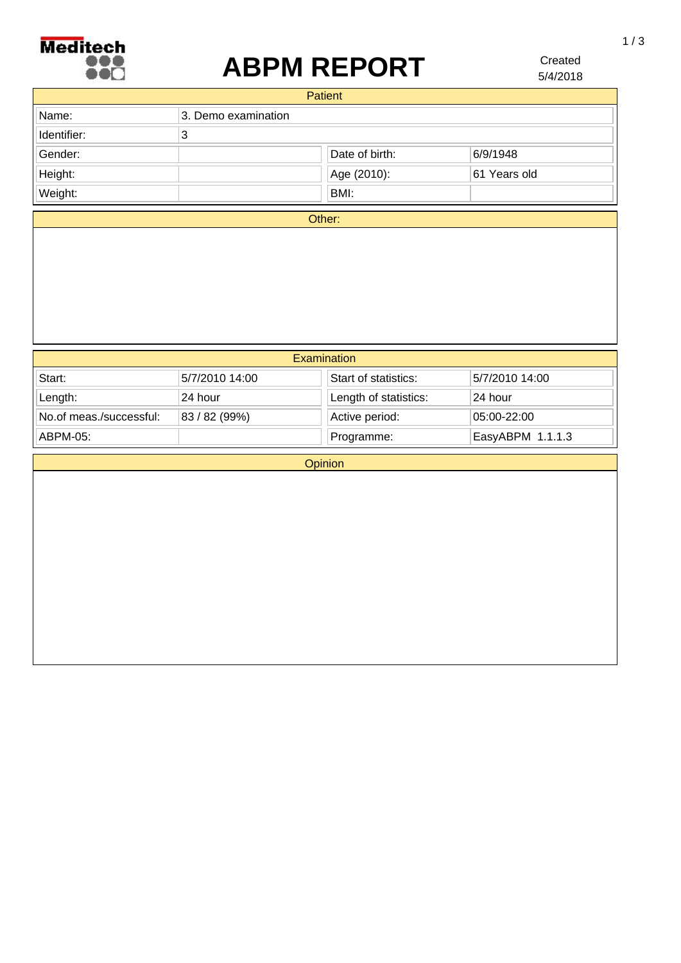

## **ABPM REPORT**

5/4/2018 Created

|             | <b>Patient</b>      |                |              |
|-------------|---------------------|----------------|--------------|
| Name:       | 3. Demo examination |                |              |
| Identifier: | 3                   |                |              |
| Gender:     |                     | Date of birth: | 6/9/1948     |
| Height:     |                     | Age (2010):    | 61 Years old |
| Weight:     |                     | BMI:           |              |

Other:

| Examination             |                |                       |                  |  |
|-------------------------|----------------|-----------------------|------------------|--|
| Start:                  | 5/7/2010 14:00 | Start of statistics:  | 5/7/2010 14:00   |  |
| Length:                 | 24 hour        | Length of statistics: | 24 hour          |  |
| No.of meas./successful: | 83 / 82 (99%)  | Active period:        | 05:00-22:00      |  |
| ABPM-05:                |                | Programme:            | EasyABPM 1.1.1.3 |  |

**Opinion**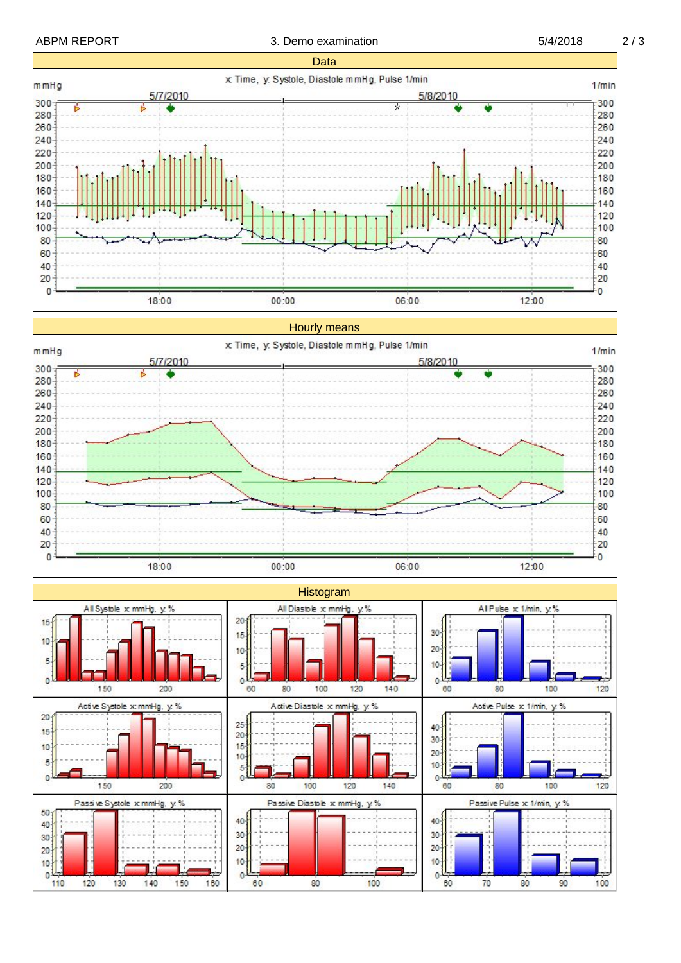ABPM REPORT 3. Demo examination 5/4/2018 2/3